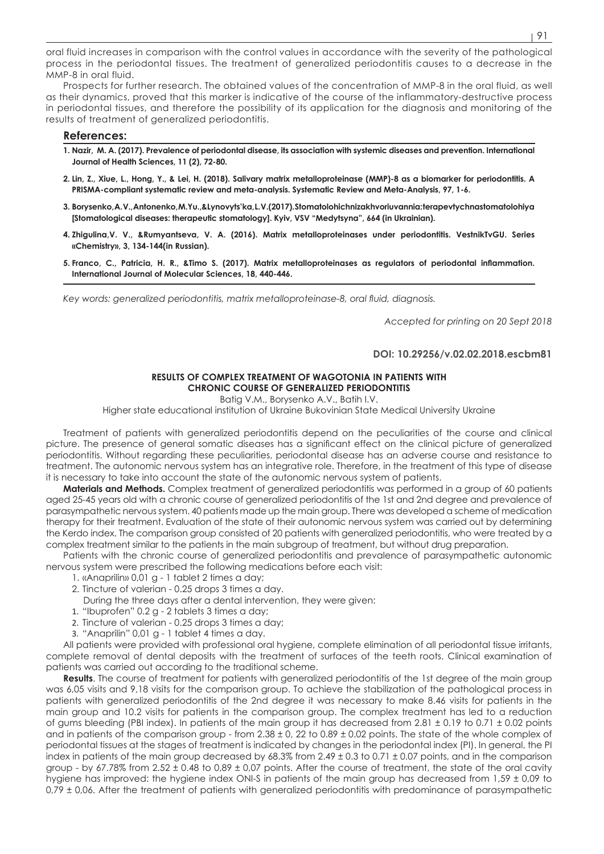oral fluid increases in comparison with the control values in accordance with the severity of the pathological process in the periodontal tissues. The treatment of generalized periodontitis causes to a decrease in the MMP-8 in oral fluid.

Prospects for further research. The obtained values of the concentration of MMP-8 in the oral fluid, as well as their dynamics, proved that this marker is indicative of the course of the inflammatory-destructive process in periodontal tissues, and therefore the possibility of its application for the diagnosis and monitoring of the results of treatment of generalized periodontitis.

#### **References:**

- **1. Nazir, M. A. (2017). Prevalence of periodontal disease, its association with systemic diseases and prevention. International Journal of Health Sciences, 11 (2), 72-80.**
- **2. Lin, Z., Xiue, L., Hong, Y., & Lei, H. (2018). Salivary matrix metalloproteinase (MMP)-8 as a biomarker for periodontitis. A PRISMA-compliant systematic review and meta-analysis. Systematic Review and Meta-Analysis, 97, 1-6.**
- **3. Borysenko, A. V., Antonenko, M.Yu.,&Lynovyts'ka, L. V.(2017). Stomatolohichnizakhvoriuvannia: terapevtychnastomatolohiya [Stomatological diseases: therapeutic stomatology]. Kyiv, VSV "Medytsyna", 664 (in Ukrainian).**
- **4. Zhigulina,V. V., &Rumyantseva, V. A. (2016). Matrix metalloproteinases under periodontitis. VestnikTvGU. Series «Chemistry», 3, 134-144(in Russian).**
- **5. Franco, C., Patricia, H. R., &Timo S. (2017). Matrix metalloproteinases as regulators of periodontal inflammation. International Journal of Molecular Sciences, 18, 440-446.**

*Key words: generalized periodontitis, matrix metalloproteinase-8, oral fluid, diagnosis.*

*Accepted for printing on 20 Sept 2018*

### **DOI: 10.29256/v.02.02.2018.escbm81**

### **RESULTS OF COMPLEX TREATMENT OF WAGOTONIA IN PATIENTS WITH CHRONIC COURSE OF GENERALIZED PERIODONTITIS**

Batig V.M., Borysenko A.V., Batih I.V.

Higher state educational institution of Ukraine Bukovinian State Medical University Ukraine

Treatment of patients with generalized periodontitis depend on the peculiarities of the course and clinical picture. The presence of general somatic diseases has a significant effect on the clinical picture of generalized periodontitis. Without regarding these peculiarities, periodontal disease has an adverse course and resistance to treatment. The autonomic nervous system has an integrative role. Therefore, in the treatment of this type of disease it is necessary to take into account the state of the autonomic nervous system of patients.

**Materials and Methods.** Complex treatment of generalized periodontitis was performed in a group of 60 patients aged 25-45 years old with a chronic course of generalized periodontitis of the 1st and 2nd degree and prevalence of parasympathetic nervous system. 40 patients made up the main group. There was developed a scheme of medication therapy for their treatment. Evaluation of the state of their autonomic nervous system was carried out by determining the Kerdo index. The comparison group consisted of 20 patients with generalized periodontitis, who were treated by a complex treatment similar to the patients in the main subgroup of treatment, but without drug preparation.

Patients with the chronic course of generalized periodontitis and prevalence of parasympathetic autonomic nervous system were prescribed the following medications before each visit:

- 1. «Anaprilin» 0,01 g 1 tablet 2 times a day;
- 2. Tincture of valerian 0.25 drops 3 times a day.
- During the three days after a dental intervention, they were given:
- 1. "Ibuprofen" 0.2 g 2 tablets 3 times a day;
- 2. Tincture of valerian 0.25 drops 3 times a day;
- 3. "Anaprilin" 0,01 g 1 tablet 4 times a day.

All patients were provided with professional oral hygiene, complete elimination of all periodontal tissue irritants, complete removal of dental deposits with the treatment of surfaces of the teeth roots. Clinical examination of patients was carried out according to the traditional scheme.

**Results**. The course of treatment for patients with generalized periodontitis of the 1st degree of the main group was 6,05 visits and 9,18 visits for the comparison group. To achieve the stabilization of the pathological process in patients with generalized periodontitis of the 2nd degree it was necessary to make 8.46 visits for patients in the main group and 10.2 visits for patients in the comparison group. The complex treatment has led to a reduction of gums bleeding (PBI index). In patients of the main group it has decreased from 2.81 ± 0.19 to 0.71 ± 0.02 points and in patients of the comparison group - from  $2.38 \pm 0.22$  to 0.89  $\pm$  0.02 points. The state of the whole complex of periodontal tissues at the stages of treatment is indicated by changes in the periodontal index (PI). In general, the PI index in patients of the main group decreased by 68.3% from 2.49 ± 0.3 to 0.71 ± 0.07 points, and in the comparison group - by 67.78% from 2.52 ± 0.48 to 0,89 ± 0,07 points. After the course of treatment, the state of the oral cavity hygiene has improved: the hygiene index ONI-S in patients of the main group has decreased from 1,59 ± 0,09 to 0,79  $\pm$  0,06. After the treatment of patients with generalized periodontitis with predominance of parasympathetic